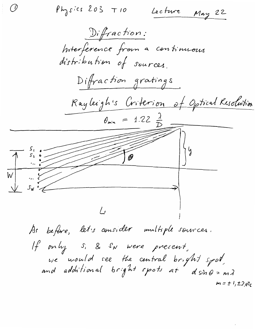(1)  $Physics 203 710$ Lecture May 22  $Diffraction:$ Interference from a continuous distribution of sources. Difraction gratings Rayleigh's Criterion of Optical Resolution  $\theta_{min}$  = 1.22  $\frac{\lambda}{D}$  $\frac{1}{2}$ As before, let's consider multiple sources. If only s. & SN were present, we would see the central bright spot<br>and additional bright spots at dsing=mi  $m = t \frac{1}{2} \pm 2$ , etc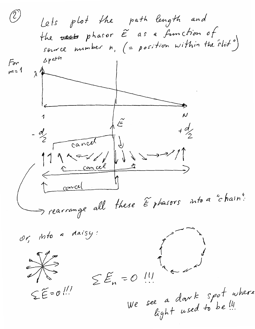$(2)$ Lets plot the path length and the vest phasor  $\widetilde{E}$  as a function of<br>source number n,  $(=$  position within the stit")  $\Delta p$  at  $ln$ For  $m = 1$  $-d$ cancel  $91955$ Concel Concel Trearrange all these Ephasors into a "chain": or, into a daisy:  $\frac{1}{\sqrt{2}}$  $= 0$   $(1)$  $\sum \widetilde{E}_{n}$ We see a donk spot where<br>light used to be!!!  $SE = 0$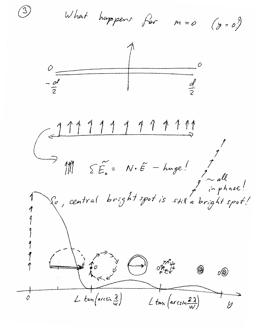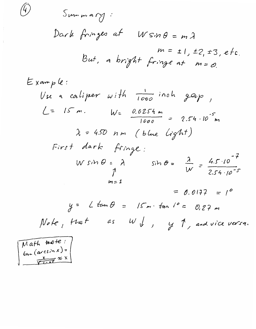Summan  
Dark fringes at 
$$
W \sin \theta = m \lambda
$$
  
 $m = \pm 1, \pm 2, \pm 3, etc.$   
But, a bright fringe at  $m = \emptyset$ .

Example:

\nUse a caliper with 
$$
\frac{1}{1000}
$$
 inch gap,  $L = 15$  m.  $W = \frac{0.0254 \text{ m}}{1000} = 2.54 \cdot 10^{-5} \text{ m}$ 

\n $\lambda = 450 \text{ nm}$  (blue light)

\nFirst dark fringe:

\nWhen  $\theta = \lambda$   $sin \theta = \frac{\lambda}{W} = \frac{4.5 \cdot 10^{-7}}{2.54 \cdot 10^{-5}}$ 

\n $m = 1$ 

\n $= 0.0177 = 1^{\circ}$ 

$$
y = L \tanh = |S_m \cdot \tan l^{\circ} = 0.27 m
$$
  
Note, that as W y y y 1, and vice versa.

Math **two+** 
$$
\cdot
$$
  
\n $tan(arcsin x) =$   
\n $\frac{x}{\sqrt{1-x^2}} \approx x$ 

 $\widehat{\mathcal{L}}$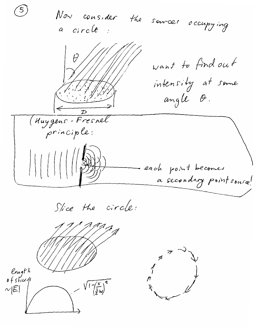Now consider the sources occupying a circle:  $\mathcal{\theta}$ want to find out intensity at some angle O.  $\mathcal{D}$ (Huygens-Fresnel principle: each point becomes a secondary point source! Slice the circle: length<br>ofstice/  $\frac{1}{\left(\frac{x}{2}\right)^{2}}$  $\sim$  $|\widetilde{\mathcal{E}}|$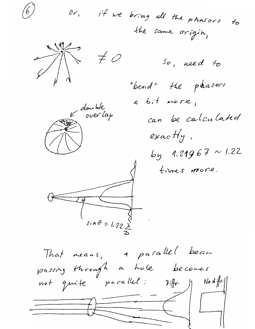if we bring all the phasors to  $0r,$ the same origin,  $\neq$  0 So, need to "bend" the paasors a bit more, double<br>over lap can be calculated exactly, by 1.21967 ~ 1.22 times more.  $sin \theta = 1.22 \times$ That means, a parallel beam passing through a hole becomes

not quite parallel:  $N$ o d $\cdot$ ffr $\cdot$ |  $Diff(r)$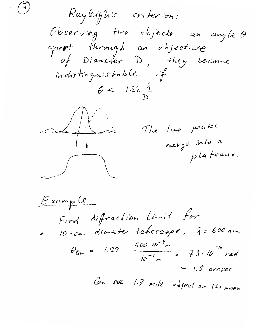Rayleigh's criterion: Observing two objects an angle O<br>apo<del>nt</del> through an objective<br>of Diameter D, they become<br>indistinguishable if  $\theta$  < 1.22  $\frac{\lambda}{\lambda}$ The two peaks merge into a plateaux.  $\bigcap$ 

 $Examp$ ( $R$ : Find diffraction Limit for 10-cm diameter terrescope, 7 = 600 nm. - cm - ...<br> $\theta_{lim} = 1.22 \cdot \frac{600 \cdot 10^{-9} m}{10^{-1} m} = 7.3 \cdot 10^{-6} rad$ <br>= 1.5 arcsec. Can see 1.7 mile - object on the moon.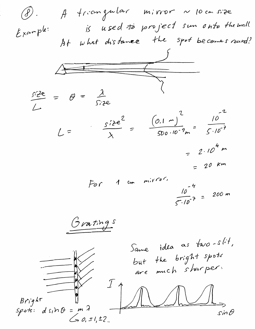A trongular mirror ~ 10 cm size  $\circledS$ . is used to project sun onto the wall.  $Example:$ At what distance the spot becomes round?  $\overline{2}$  $rac{size^{2}}{\lambda} = \frac{(0.1 m)^{2}}{500 \cdot 10^{-9} m} = \frac{10^{2}}{500 \cdot 10^{-9}}$  $L =$ =  $2.10^{4}$  m  $m. r$ ror.  $\frac{10^{-4}}{5 \cdot 10^{-7}}$  = 200 m For  $\overline{A}$ Gratings Same idea as two-slit, but the bright spots are much sharper.  $Bright$  $d \sin \theta = m \lambda$  $Spot:$  $\sin \theta$  $6, 0, 1, 12$